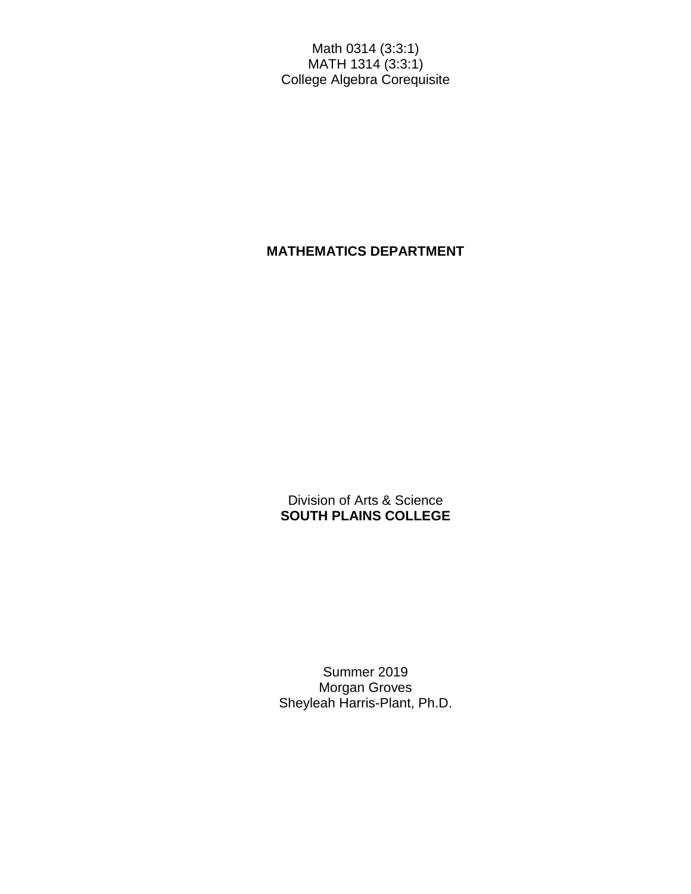Math 0314 (3:3:1) MATH 1314 (3:3:1) College Algebra Corequisite

# **MATHEMATICS DEPARTMENT**

Division of Arts & Science **SOUTH PLAINS COLLEGE**

Summer 2019 Morgan Groves Sheyleah Harris-Plant, Ph.D.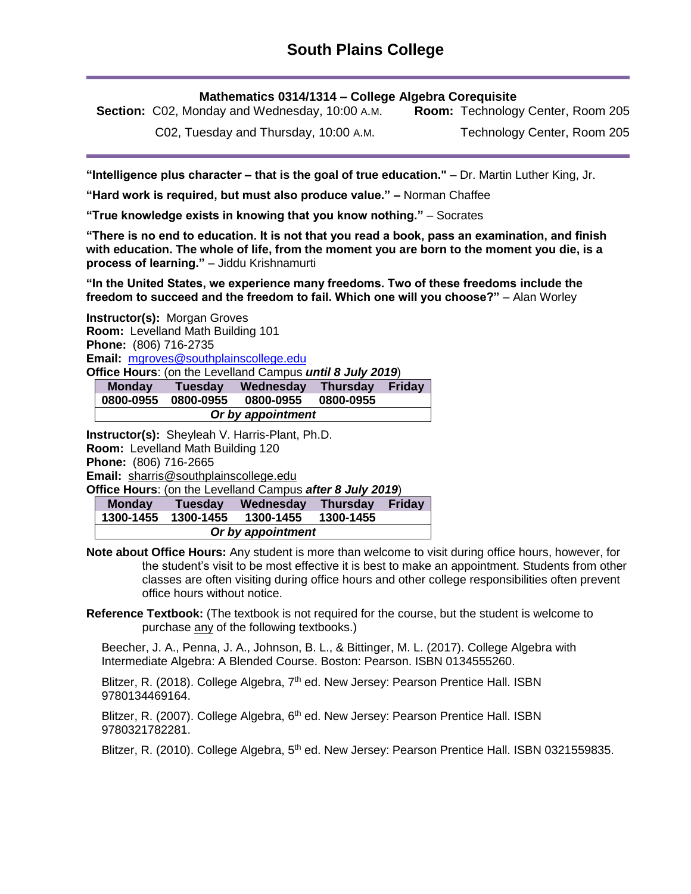**Mathematics 0314/1314 – College Algebra Corequisite**

**Section:** C02, Monday and Wednesday, 10:00 A.M. **Room:** Technology Center, Room 205

C02, Tuesday and Thursday, 10:00 A.M.

Technology Center, Room 205

**"Intelligence plus character – that is the goal of true education."** – Dr. Martin Luther King, Jr.

**"Hard work is required, but must also produce value." –** Norman Chaffee

**"True knowledge exists in knowing that you know nothing."** – Socrates

**"There is no end to education. It is not that you read a book, pass an examination, and finish with education. The whole of life, from the moment you are born to the moment you die, is a process of learning."** – Jiddu Krishnamurti

**"In the United States, we experience many freedoms. Two of these freedoms include the freedom to succeed and the freedom to fail. Which one will you choose?"** – Alan Worley

**Instructor(s):** Morgan Groves **Room:** Levelland Math Building 101 **Phone:** (806) 716-2735 **Email:** [mgroves@southplainscollege.edu](mailto:mgroves@southplainscollege.edu) **Office Hours**: (on the Levelland Campus *until 8 July 2019*)

**Monday Tuesday Wednesday Thursday Friday 0800-0955 0800-0955 0800-0955 0800-0955**

| ---------- | -----------       | ------- |  |
|------------|-------------------|---------|--|
|            |                   |         |  |
|            | Or by appointment |         |  |
|            |                   |         |  |

**Instructor(s):** Sheyleah V. Harris-Plant, Ph.D. **Room:** Levelland Math Building 120 **Phone:** (806) 716-2665 **Email:** [sharris@southplainscollege.edu](mailto:sharris@southplainscollege.edu) **Office Hours**: (on the Levelland Campus *after 8 July 2019*)

| <b>Monday</b>     | Tuesdav   | Wednesday | <b>Thursday</b> | <b>Friday</b> |  |  |
|-------------------|-----------|-----------|-----------------|---------------|--|--|
| 1300-1455         | 1300-1455 | 1300-1455 | 1300-1455       |               |  |  |
| Or by appointment |           |           |                 |               |  |  |

**Note about Office Hours:** Any student is more than welcome to visit during office hours, however, for the student's visit to be most effective it is best to make an appointment. Students from other classes are often visiting during office hours and other college responsibilities often prevent office hours without notice.

**Reference Textbook:** (The textbook is not required for the course, but the student is welcome to purchase any of the following textbooks.)

Beecher, J. A., Penna, J. A., Johnson, B. L., & Bittinger, M. L. (2017). College Algebra with Intermediate Algebra: A Blended Course. Boston: Pearson. ISBN 0134555260.

Blitzer, R. (2018). College Algebra, 7<sup>th</sup> ed. New Jersey: Pearson Prentice Hall. ISBN 9780134469164.

Blitzer, R. (2007). College Algebra,  $6<sup>th</sup>$  ed. New Jersey: Pearson Prentice Hall. ISBN 9780321782281.

Blitzer, R. (2010). College Algebra, 5<sup>th</sup> ed. New Jersey: Pearson Prentice Hall. ISBN 0321559835.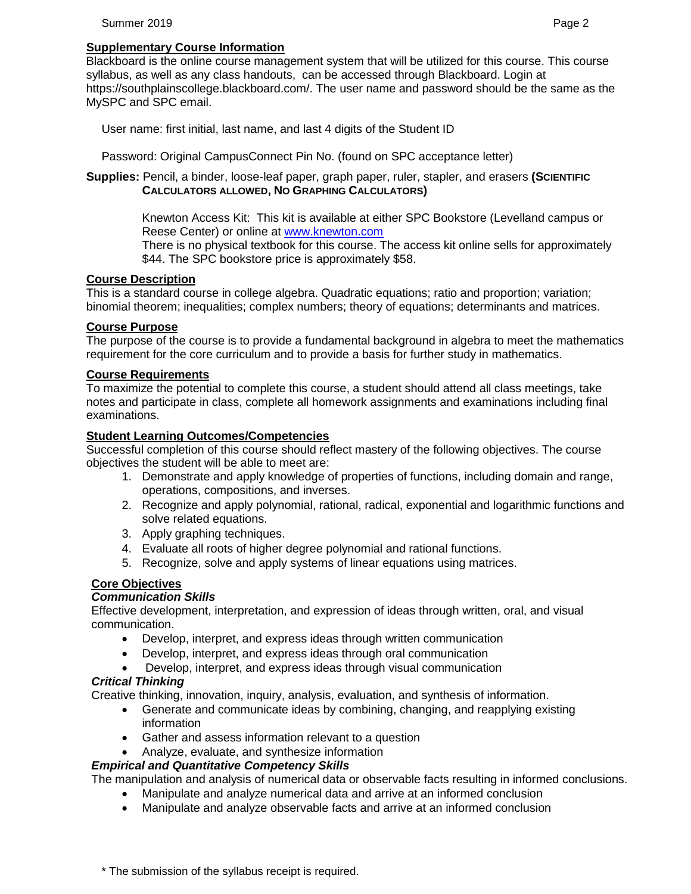#### Summer 2019 Page 2 and the state of the state of the state of the state of the state of the state of the state of the state of the state of the state of the state of the state of the state of the state of the state of the

### **Supplementary Course Information**

Blackboard is the online course management system that will be utilized for this course. This course syllabus, as well as any class handouts, can be accessed through Blackboard. Login at https://southplainscollege.blackboard.com/. The user name and password should be the same as the MySPC and SPC email.

User name: first initial, last name, and last 4 digits of the Student ID

Password: Original CampusConnect Pin No. (found on SPC acceptance letter)

**Supplies:** Pencil, a binder, loose-leaf paper, graph paper, ruler, stapler, and erasers **(SCIENTIFIC CALCULATORS ALLOWED, NO GRAPHING CALCULATORS)**

> Knewton Access Kit: This kit is available at either SPC Bookstore (Levelland campus or Reese Center) or online at [www.knewton.com](http://www.knewton.com/)

There is no physical textbook for this course. The access kit online sells for approximately \$44. The SPC bookstore price is approximately \$58.

### **Course Description**

This is a standard course in college algebra. Quadratic equations; ratio and proportion; variation; binomial theorem; inequalities; complex numbers; theory of equations; determinants and matrices.

### **Course Purpose**

The purpose of the course is to provide a fundamental background in algebra to meet the mathematics requirement for the core curriculum and to provide a basis for further study in mathematics.

### **Course Requirements**

To maximize the potential to complete this course, a student should attend all class meetings, take notes and participate in class, complete all homework assignments and examinations including final examinations.

### **Student Learning Outcomes/Competencies**

Successful completion of this course should reflect mastery of the following objectives. The course objectives the student will be able to meet are:

- 1. Demonstrate and apply knowledge of properties of functions, including domain and range, operations, compositions, and inverses.
- 2. Recognize and apply polynomial, rational, radical, exponential and logarithmic functions and solve related equations.
- 3. Apply graphing techniques.
- 4. Evaluate all roots of higher degree polynomial and rational functions.
- 5. Recognize, solve and apply systems of linear equations using matrices.

# **Core Objectives**

### *Communication Skills*

Effective development, interpretation, and expression of ideas through written, oral, and visual communication.

- Develop, interpret, and express ideas through written communication
- Develop, interpret, and express ideas through oral communication
- Develop, interpret, and express ideas through visual communication

### *Critical Thinking*

Creative thinking, innovation, inquiry, analysis, evaluation, and synthesis of information.

- Generate and communicate ideas by combining, changing, and reapplying existing information
- Gather and assess information relevant to a question
- Analyze, evaluate, and synthesize information

### *Empirical and Quantitative Competency Skills*

The manipulation and analysis of numerical data or observable facts resulting in informed conclusions.

- Manipulate and analyze numerical data and arrive at an informed conclusion
- Manipulate and analyze observable facts and arrive at an informed conclusion

\* The submission of the syllabus receipt is required.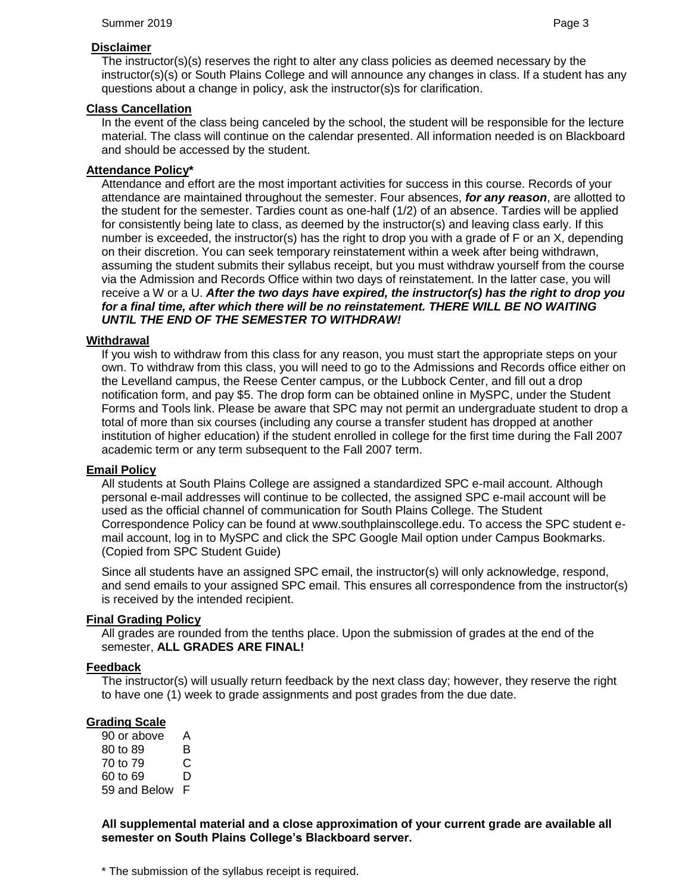### **Disclaimer**

# **Class Cancellation**

In the event of the class being canceled by the school, the student will be responsible for the lecture material. The class will continue on the calendar presented. All information needed is on Blackboard and should be accessed by the student.

# **Attendance Policy\***

Attendance and effort are the most important activities for success in this course. Records of your attendance are maintained throughout the semester. Four absences, *for any reason*, are allotted to the student for the semester. Tardies count as one-half (1/2) of an absence. Tardies will be applied for consistently being late to class, as deemed by the instructor(s) and leaving class early. If this number is exceeded, the instructor(s) has the right to drop you with a grade of F or an X, depending on their discretion. You can seek temporary reinstatement within a week after being withdrawn, assuming the student submits their syllabus receipt, but you must withdraw yourself from the course via the Admission and Records Office within two days of reinstatement. In the latter case, you will receive a W or a U. *After the two days have expired, the instructor(s) has the right to drop you for a final time, after which there will be no reinstatement. THERE WILL BE NO WAITING UNTIL THE END OF THE SEMESTER TO WITHDRAW!*

# **Withdrawal**

If you wish to withdraw from this class for any reason, you must start the appropriate steps on your own. To withdraw from this class, you will need to go to the Admissions and Records office either on the Levelland campus, the Reese Center campus, or the Lubbock Center, and fill out a drop notification form, and pay \$5. The drop form can be obtained online in MySPC, under the Student Forms and Tools link. Please be aware that SPC may not permit an undergraduate student to drop a total of more than six courses (including any course a transfer student has dropped at another institution of higher education) if the student enrolled in college for the first time during the Fall 2007 academic term or any term subsequent to the Fall 2007 term.

# **Email Policy**

All students at South Plains College are assigned a standardized SPC e-mail account. Although personal e-mail addresses will continue to be collected, the assigned SPC e-mail account will be used as the official channel of communication for South Plains College. The Student Correspondence Policy can be found at www.southplainscollege.edu. To access the SPC student email account, log in to MySPC and click the SPC Google Mail option under Campus Bookmarks. (Copied from SPC Student Guide)

Since all students have an assigned SPC email, the instructor(s) will only acknowledge, respond, and send emails to your assigned SPC email. This ensures all correspondence from the instructor(s) is received by the intended recipient.

# **Final Grading Policy**

All grades are rounded from the tenths place. Upon the submission of grades at the end of the semester, **ALL GRADES ARE FINAL!**

# **Feedback**

The instructor(s) will usually return feedback by the next class day; however, they reserve the right to have one (1) week to grade assignments and post grades from the due date.

# **Grading Scale**

90 or above A 80 to 89 B 70 to 79 C 60 to 69 D 59 and Below F

**All supplemental material and a close approximation of your current grade are available all semester on South Plains College's Blackboard server.**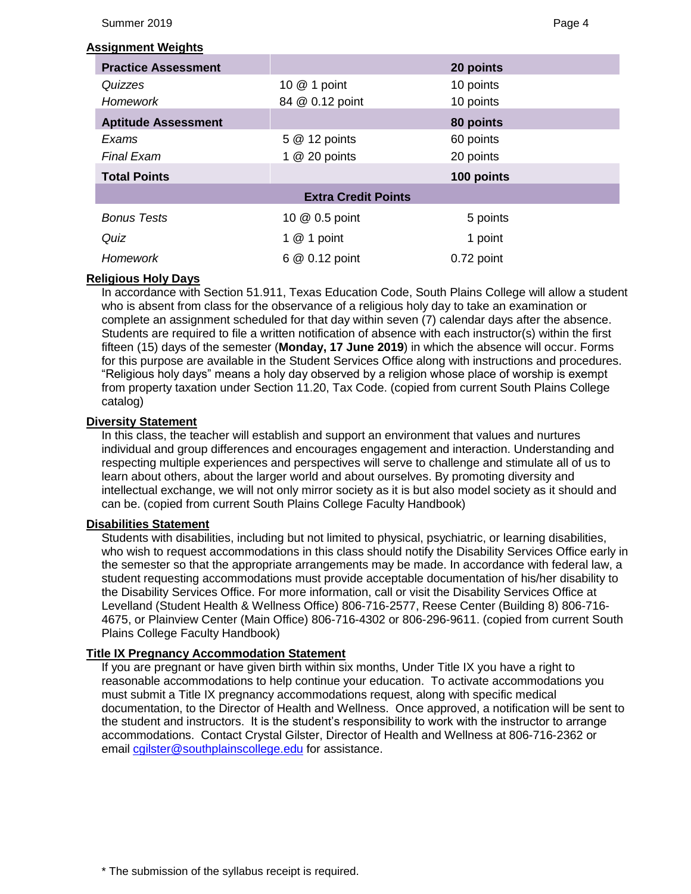Summer 2019 Page 4

#### **Assignment Weights**

| <b>Practice Assessment</b> |                 | 20 points  |  |  |  |  |
|----------------------------|-----------------|------------|--|--|--|--|
| Quizzes                    | 10 @ 1 point    | 10 points  |  |  |  |  |
| Homework                   | 84 @ 0.12 point | 10 points  |  |  |  |  |
| <b>Aptitude Assessment</b> | 80 points       |            |  |  |  |  |
| Exams                      | 5 @ 12 points   | 60 points  |  |  |  |  |
| <b>Final Exam</b>          | 1 $@$ 20 points | 20 points  |  |  |  |  |
| <b>Total Points</b>        |                 | 100 points |  |  |  |  |
| <b>Extra Credit Points</b> |                 |            |  |  |  |  |
| <b>Bonus Tests</b>         | 10 @ 0.5 point  | 5 points   |  |  |  |  |
| Quiz                       | 1 $@$ 1 point   | 1 point    |  |  |  |  |
| Homework                   | 6 @ 0.12 point  | 0.72 point |  |  |  |  |

### **Religious Holy Days**

In accordance with Section 51.911, Texas Education Code, South Plains College will allow a student who is absent from class for the observance of a religious holy day to take an examination or complete an assignment scheduled for that day within seven (7) calendar days after the absence. Students are required to file a written notification of absence with each instructor(s) within the first fifteen (15) days of the semester (**Monday, 17 June 2019**) in which the absence will occur. Forms for this purpose are available in the Student Services Office along with instructions and procedures. "Religious holy days" means a holy day observed by a religion whose place of worship is exempt from property taxation under Section 11.20, Tax Code. (copied from current South Plains College catalog)

### **Diversity Statement**

In this class, the teacher will establish and support an environment that values and nurtures individual and group differences and encourages engagement and interaction. Understanding and respecting multiple experiences and perspectives will serve to challenge and stimulate all of us to learn about others, about the larger world and about ourselves. By promoting diversity and intellectual exchange, we will not only mirror society as it is but also model society as it should and can be. (copied from current South Plains College Faculty Handbook)

#### **Disabilities Statement**

Students with disabilities, including but not limited to physical, psychiatric, or learning disabilities, who wish to request accommodations in this class should notify the Disability Services Office early in the semester so that the appropriate arrangements may be made. In accordance with federal law, a student requesting accommodations must provide acceptable documentation of his/her disability to the Disability Services Office. For more information, call or visit the Disability Services Office at Levelland (Student Health & Wellness Office) 806-716-2577, Reese Center (Building 8) 806-716- 4675, or Plainview Center (Main Office) 806-716-4302 or 806-296-9611. (copied from current South Plains College Faculty Handbook)

#### **Title IX Pregnancy Accommodation Statement**

If you are pregnant or have given birth within six months, Under Title IX you have a right to reasonable accommodations to help continue your education. To activate accommodations you must submit a Title IX pregnancy accommodations request, along with specific medical documentation, to the Director of Health and Wellness. Once approved, a notification will be sent to the student and instructors. It is the student's responsibility to work with the instructor to arrange accommodations. Contact Crystal Gilster, Director of Health and Wellness at 806-716-2362 or email [cgilster@southplainscollege.edu](mailto:cgilster@southplainscollege.edu?subject=Title%20IX%20Pregnancy%20Accomodation) for assistance.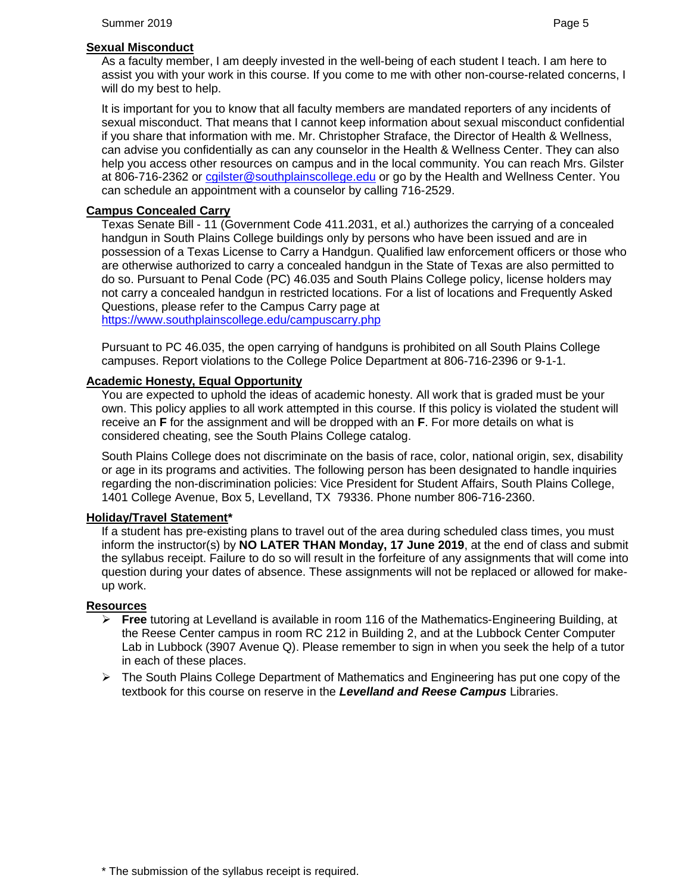### **Sexual Misconduct**

As a faculty member, I am deeply invested in the well-being of each student I teach. I am here to assist you with your work in this course. If you come to me with other non-course-related concerns, I will do my best to help.

It is important for you to know that all faculty members are mandated reporters of any incidents of sexual misconduct. That means that I cannot keep information about sexual misconduct confidential if you share that information with me. Mr. Christopher Straface, the Director of Health & Wellness, can advise you confidentially as can any counselor in the Health & Wellness Center. They can also help you access other resources on campus and in the local community. You can reach Mrs. Gilster at 806-716-2362 or [cgilster@southplainscollege.edu](mailto:cgilster@southplainscollege.edu?subject=Title%20IX%20Pregnancy%20Accomodation) or go by the Health and Wellness Center. You can schedule an appointment with a counselor by calling 716-2529.

# **Campus Concealed Carry**

Texas Senate Bill - 11 (Government Code 411.2031, et al.) authorizes the carrying of a concealed handgun in South Plains College buildings only by persons who have been issued and are in possession of a Texas License to Carry a Handgun. Qualified law enforcement officers or those who are otherwise authorized to carry a concealed handgun in the State of Texas are also permitted to do so. Pursuant to Penal Code (PC) 46.035 and South Plains College policy, license holders may not carry a concealed handgun in restricted locations. For a list of locations and Frequently Asked Questions, please refer to the Campus Carry page at

[https://www.southplainscollege.edu/campuscarry.php](http://www.southplainscollege.edu/campuscarry.php)

Pursuant to PC 46.035, the open carrying of handguns is prohibited on all South Plains College campuses. Report violations to the College Police Department at 806-716-2396 or 9-1-1.

# **Academic Honesty, Equal Opportunity**

You are expected to uphold the ideas of academic honesty. All work that is graded must be your own. This policy applies to all work attempted in this course. If this policy is violated the student will receive an **F** for the assignment and will be dropped with an **F**. For more details on what is considered cheating, see the South Plains College catalog.

South Plains College does not discriminate on the basis of race, color, national origin, sex, disability or age in its programs and activities. The following person has been designated to handle inquiries regarding the non-discrimination policies: Vice President for Student Affairs, South Plains College, 1401 College Avenue, Box 5, Levelland, TX 79336. Phone number 806-716-2360.

# **Holiday/Travel Statement\***

If a student has pre-existing plans to travel out of the area during scheduled class times, you must inform the instructor(s) by **NO LATER THAN Monday, 17 June 2019**, at the end of class and submit the syllabus receipt. Failure to do so will result in the forfeiture of any assignments that will come into question during your dates of absence. These assignments will not be replaced or allowed for makeup work.

# **Resources**

- ➢ **Free** tutoring at Levelland is available in room 116 of the Mathematics-Engineering Building, at the Reese Center campus in room RC 212 in Building 2, and at the Lubbock Center Computer Lab in Lubbock (3907 Avenue Q). Please remember to sign in when you seek the help of a tutor in each of these places.
- $\triangleright$  The South Plains College Department of Mathematics and Engineering has put one copy of the textbook for this course on reserve in the *Levelland and Reese Campus* Libraries.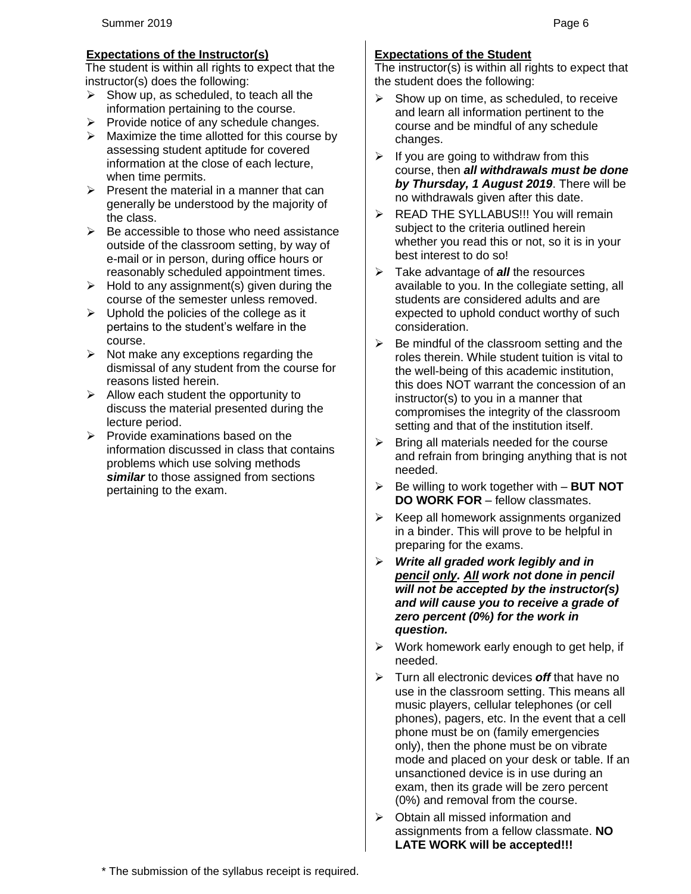## **Expectations of the Instructor(s)**

The student is within all rights to expect that the instructor(s) does the following:

- $\triangleright$  Show up, as scheduled, to teach all the information pertaining to the course.
- $\triangleright$  Provide notice of any schedule changes.
- ➢ Maximize the time allotted for this course by assessing student aptitude for covered information at the close of each lecture, when time permits.
- $\triangleright$  Present the material in a manner that can generally be understood by the majority of the class.
- $\triangleright$  Be accessible to those who need assistance outside of the classroom setting, by way of e-mail or in person, during office hours or reasonably scheduled appointment times.
- $\triangleright$  Hold to any assignment(s) given during the course of the semester unless removed.
- $\triangleright$  Uphold the policies of the college as it pertains to the student's welfare in the course.
- $\triangleright$  Not make any exceptions regarding the dismissal of any student from the course for reasons listed herein.
- $\triangleright$  Allow each student the opportunity to discuss the material presented during the lecture period.
- $\triangleright$  Provide examinations based on the information discussed in class that contains problems which use solving methods **similar** to those assigned from sections pertaining to the exam.

# **Expectations of the Student**

The instructor(s) is within all rights to expect that the student does the following:

- $\triangleright$  Show up on time, as scheduled, to receive and learn all information pertinent to the course and be mindful of any schedule changes.
- $\triangleright$  If you are going to withdraw from this course, then *all withdrawals must be done by Thursday, 1 August 2019*. There will be no withdrawals given after this date.
- ➢ READ THE SYLLABUS!!! You will remain subject to the criteria outlined herein whether you read this or not, so it is in your best interest to do so!
- ➢ Take advantage of *all* the resources available to you. In the collegiate setting, all students are considered adults and are expected to uphold conduct worthy of such consideration.
- $\triangleright$  Be mindful of the classroom setting and the roles therein. While student tuition is vital to the well-being of this academic institution, this does NOT warrant the concession of an instructor(s) to you in a manner that compromises the integrity of the classroom setting and that of the institution itself.
- $\triangleright$  Bring all materials needed for the course and refrain from bringing anything that is not needed.
- ➢ Be willing to work together with **BUT NOT DO WORK FOR** – fellow classmates.
- $\triangleright$  Keep all homework assignments organized in a binder. This will prove to be helpful in preparing for the exams.
- ➢ *Write all graded work legibly and in pencil only. All work not done in pencil will not be accepted by the instructor(s) and will cause you to receive a grade of zero percent (0%) for the work in question.*
- ➢ Work homework early enough to get help, if needed.
- ➢ Turn all electronic devices *off* that have no use in the classroom setting. This means all music players, cellular telephones (or cell phones), pagers, etc. In the event that a cell phone must be on (family emergencies only), then the phone must be on vibrate mode and placed on your desk or table. If an unsanctioned device is in use during an exam, then its grade will be zero percent (0%) and removal from the course.
- ➢ Obtain all missed information and assignments from a fellow classmate. **NO LATE WORK will be accepted!!!**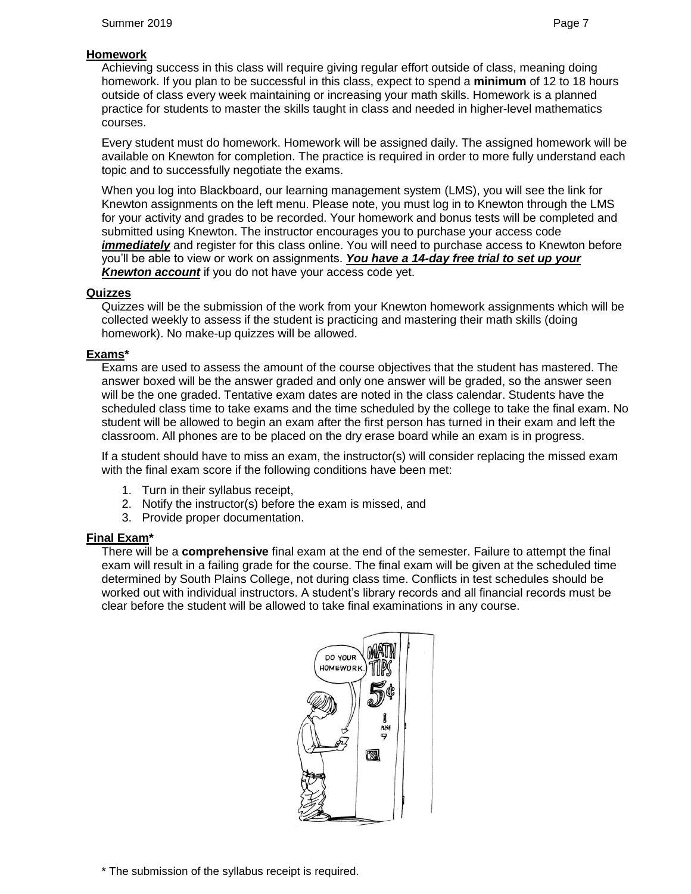# **Homework**

Achieving success in this class will require giving regular effort outside of class, meaning doing homework. If you plan to be successful in this class, expect to spend a **minimum** of 12 to 18 hours outside of class every week maintaining or increasing your math skills. Homework is a planned practice for students to master the skills taught in class and needed in higher-level mathematics courses.

Every student must do homework. Homework will be assigned daily. The assigned homework will be available on Knewton for completion. The practice is required in order to more fully understand each topic and to successfully negotiate the exams.

When you log into Blackboard, our learning management system (LMS), you will see the link for Knewton assignments on the left menu. Please note, you must log in to Knewton through the LMS for your activity and grades to be recorded. Your homework and bonus tests will be completed and submitted using Knewton. The instructor encourages you to purchase your access code *immediately* and register for this class online. You will need to purchase access to Knewton before you'll be able to view or work on assignments. *You have a 14-day free trial to set up your Knewton account* if you do not have your access code yet.

### **Quizzes**

Quizzes will be the submission of the work from your Knewton homework assignments which will be collected weekly to assess if the student is practicing and mastering their math skills (doing homework). No make-up quizzes will be allowed.

## **Exams\***

Exams are used to assess the amount of the course objectives that the student has mastered. The answer boxed will be the answer graded and only one answer will be graded, so the answer seen will be the one graded. Tentative exam dates are noted in the class calendar. Students have the scheduled class time to take exams and the time scheduled by the college to take the final exam. No student will be allowed to begin an exam after the first person has turned in their exam and left the classroom. All phones are to be placed on the dry erase board while an exam is in progress.

If a student should have to miss an exam, the instructor(s) will consider replacing the missed exam with the final exam score if the following conditions have been met:

- 1. Turn in their syllabus receipt,
- 2. Notify the instructor(s) before the exam is missed, and
- 3. Provide proper documentation.

# **Final Exam\***

There will be a **comprehensive** final exam at the end of the semester. Failure to attempt the final exam will result in a failing grade for the course. The final exam will be given at the scheduled time determined by South Plains College, not during class time. Conflicts in test schedules should be worked out with individual instructors. A student's library records and all financial records must be clear before the student will be allowed to take final examinations in any course.

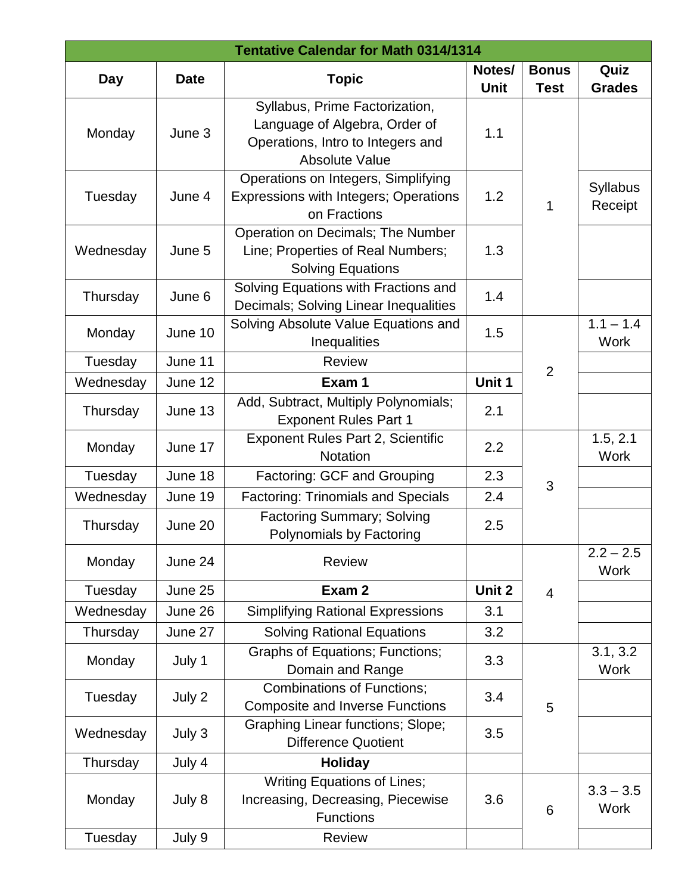| <b>Tentative Calendar for Math 0314/1314</b> |             |                                                                                                                        |                |                             |                            |  |  |
|----------------------------------------------|-------------|------------------------------------------------------------------------------------------------------------------------|----------------|-----------------------------|----------------------------|--|--|
| Day                                          | <b>Date</b> | <b>Topic</b>                                                                                                           | Notes/<br>Unit | <b>Bonus</b><br><b>Test</b> | Quiz<br><b>Grades</b>      |  |  |
| Monday                                       | June 3      | Syllabus, Prime Factorization,<br>Language of Algebra, Order of<br>Operations, Intro to Integers and<br>Absolute Value | 1.1            |                             |                            |  |  |
| Tuesday                                      | June 4      | Operations on Integers, Simplifying<br>Expressions with Integers; Operations<br>on Fractions                           | 1.2            | 1                           | <b>Syllabus</b><br>Receipt |  |  |
| Wednesday                                    | June 5      | Operation on Decimals; The Number<br>Line; Properties of Real Numbers;<br><b>Solving Equations</b>                     | 1.3            |                             |                            |  |  |
| Thursday                                     | June 6      | Solving Equations with Fractions and<br>Decimals; Solving Linear Inequalities                                          | 1.4            |                             |                            |  |  |
| Monday                                       | June 10     | Solving Absolute Value Equations and<br>Inequalities                                                                   | 1.5            |                             | $1.1 - 1.4$<br><b>Work</b> |  |  |
| Tuesday                                      | June 11     | <b>Review</b>                                                                                                          |                |                             |                            |  |  |
| Wednesday                                    | June 12     | Exam 1                                                                                                                 | Unit 1         | $\overline{2}$              |                            |  |  |
| Thursday                                     | June 13     | Add, Subtract, Multiply Polynomials;<br><b>Exponent Rules Part 1</b>                                                   | 2.1            |                             |                            |  |  |
| Monday                                       | June 17     | <b>Exponent Rules Part 2, Scientific</b><br><b>Notation</b>                                                            | 2.2            |                             | 1.5, 2.1<br><b>Work</b>    |  |  |
| Tuesday                                      | June 18     | Factoring: GCF and Grouping                                                                                            | 2.3            |                             |                            |  |  |
| Wednesday                                    | June 19     | <b>Factoring: Trinomials and Specials</b>                                                                              | 2.4            | 3                           |                            |  |  |
| Thursday                                     | June 20     | <b>Factoring Summary; Solving</b><br>Polynomials by Factoring                                                          | 2.5            |                             |                            |  |  |
| Monday                                       | June 24     | <b>Review</b>                                                                                                          |                |                             | $2.2 - 2.5$<br><b>Work</b> |  |  |
| Tuesday                                      | June 25     | Exam 2                                                                                                                 | Unit 2         | 4                           |                            |  |  |
| Wednesday                                    | June 26     | <b>Simplifying Rational Expressions</b>                                                                                | 3.1            |                             |                            |  |  |
| Thursday                                     | June 27     | <b>Solving Rational Equations</b>                                                                                      | 3.2            |                             |                            |  |  |
| Monday                                       | July 1      | <b>Graphs of Equations; Functions;</b><br>Domain and Range                                                             | 3.3            |                             | 3.1, 3.2<br><b>Work</b>    |  |  |
| Tuesday                                      | July 2      | <b>Combinations of Functions;</b><br><b>Composite and Inverse Functions</b>                                            | 3.4            | 5                           |                            |  |  |
| Wednesday                                    | July 3      | <b>Graphing Linear functions; Slope;</b><br><b>Difference Quotient</b>                                                 | 3.5            |                             |                            |  |  |
| Thursday                                     | July 4      | <b>Holiday</b>                                                                                                         |                |                             |                            |  |  |
| Monday                                       | July 8      | <b>Writing Equations of Lines;</b><br>Increasing, Decreasing, Piecewise<br><b>Functions</b>                            | 3.6            | 6                           | $3.3 - 3.5$<br><b>Work</b> |  |  |
| Tuesday                                      | July 9      | <b>Review</b>                                                                                                          |                |                             |                            |  |  |